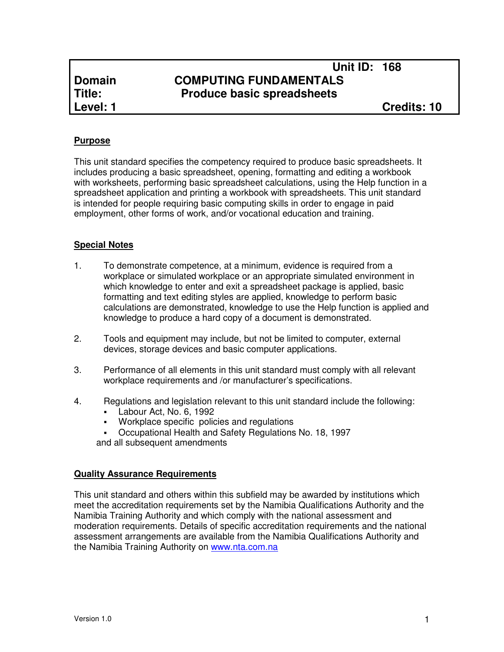# **Unit ID: 168 Domain COMPUTING FUNDAMENTALS<br>
Title: Produce basic spreadsheets Produce basic spreadsheets**

# **Purpose**

This unit standard specifies the competency required to produce basic spreadsheets. It includes producing a basic spreadsheet, opening, formatting and editing a workbook with worksheets, performing basic spreadsheet calculations, using the Help function in a spreadsheet application and printing a workbook with spreadsheets. This unit standard is intended for people requiring basic computing skills in order to engage in paid employment, other forms of work, and/or vocational education and training.

## **Special Notes**

- 1. To demonstrate competence, at a minimum, evidence is required from a workplace or simulated workplace or an appropriate simulated environment in which knowledge to enter and exit a spreadsheet package is applied, basic formatting and text editing styles are applied, knowledge to perform basic calculations are demonstrated, knowledge to use the Help function is applied and knowledge to produce a hard copy of a document is demonstrated.
- 2. Tools and equipment may include, but not be limited to computer, external devices, storage devices and basic computer applications.
- 3. Performance of all elements in this unit standard must comply with all relevant workplace requirements and /or manufacturer's specifications.
- 4. Regulations and legislation relevant to this unit standard include the following:
	- Labour Act, No. 6, 1992
	- Workplace specific policies and regulations
	- Occupational Health and Safety Regulations No. 18, 1997 and all subsequent amendments

#### **Quality Assurance Requirements**

This unit standard and others within this subfield may be awarded by institutions which meet the accreditation requirements set by the Namibia Qualifications Authority and the Namibia Training Authority and which comply with the national assessment and moderation requirements. Details of specific accreditation requirements and the national assessment arrangements are available from the Namibia Qualifications Authority and the Namibia Training Authority on www.nta.com.na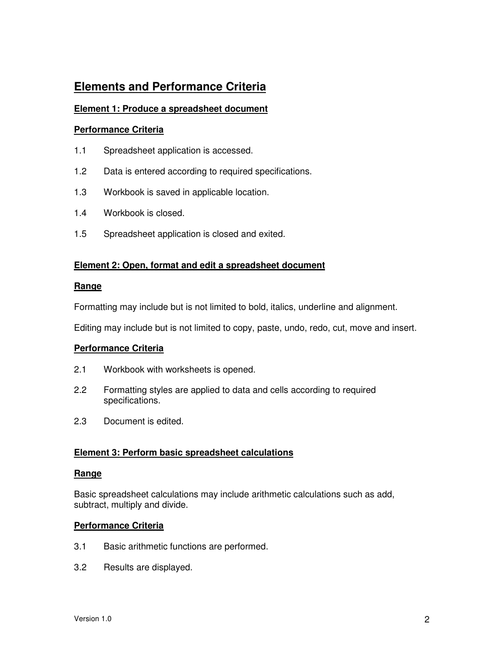# **Elements and Performance Criteria**

## **Element 1: Produce a spreadsheet document**

#### **Performance Criteria**

- 1.1 Spreadsheet application is accessed.
- 1.2 Data is entered according to required specifications.
- 1.3 Workbook is saved in applicable location.
- 1.4 Workbook is closed.
- 1.5 Spreadsheet application is closed and exited.

#### **Element 2: Open, format and edit a spreadsheet document**

#### **Range**

Formatting may include but is not limited to bold, italics, underline and alignment.

Editing may include but is not limited to copy, paste, undo, redo, cut, move and insert.

#### **Performance Criteria**

- 2.1 Workbook with worksheets is opened.
- 2.2 Formatting styles are applied to data and cells according to required specifications.
- 2.3 Document is edited.

#### **Element 3: Perform basic spreadsheet calculations**

#### **Range**

Basic spreadsheet calculations may include arithmetic calculations such as add, subtract, multiply and divide.

#### **Performance Criteria**

- 3.1 Basic arithmetic functions are performed.
- 3.2 Results are displayed.